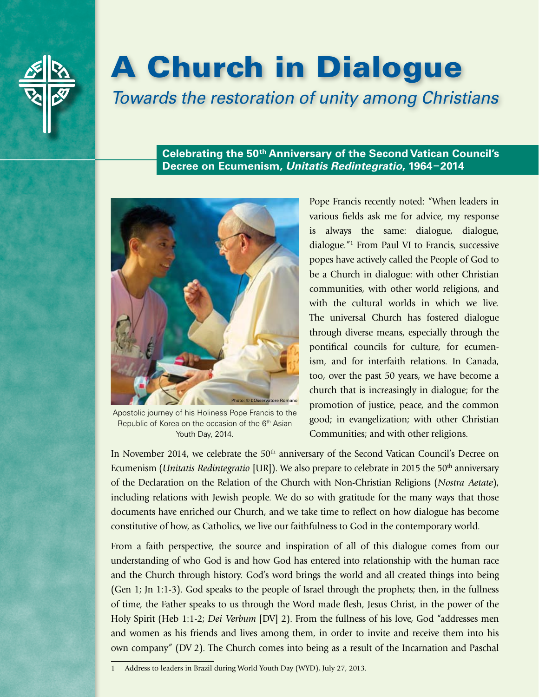

# A Church in Dialogue

*Towards the restoration of unity among Christians*

**Celebrating the 50th Anniversary of the Second Vatican Council's Decree on Ecumenism,** *Unitatis Redintegratio***, 1964–2014**



Apostolic journey of his Holiness Pope Francis to the Republic of Korea on the occasion of the 6<sup>th</sup> Asian Youth Day, 2014.

Pope Francis recently noted: "When leaders in various fields ask me for advice, my response is always the same: dialogue, dialogue, dialogue."1 From Paul VI to Francis, successive popes have actively called the People of God to be a Church in dialogue: with other Christian communities, with other world religions, and with the cultural worlds in which we live. The universal Church has fostered dialogue through diverse means, especially through the pontifical councils for culture, for ecumenism, and for interfaith relations. In Canada, too, over the past 50 years, we have become a church that is increasingly in dialogue; for the promotion of justice, peace, and the common good; in evangelization; with other Christian Communities; and with other religions.

In November 2014, we celebrate the 50<sup>th</sup> anniversary of the Second Vatican Council's Decree on Ecumenism (*Unitatis Redintegratio* [UR]). We also prepare to celebrate in 2015 the 50<sup>th</sup> anniversary of the Declaration on the Relation of the Church with Non-Christian Religions (*Nostra Aetate*), including relations with Jewish people. We do so with gratitude for the many ways that those documents have enriched our Church, and we take time to reflect on how dialogue has become constitutive of how, as Catholics, we live our faithfulness to God in the contemporary world.

From a faith perspective, the source and inspiration of all of this dialogue comes from our understanding of who God is and how God has entered into relationship with the human race and the Church through history. God's word brings the world and all created things into being (Gen 1; Jn 1:1-3). God speaks to the people of Israel through the prophets; then, in the fullness of time, the Father speaks to us through the Word made flesh, Jesus Christ, in the power of the Holy Spirit (Heb 1:1-2; *Dei Verbum* [DV] 2). From the fullness of his love, God "addresses men and women as his friends and lives among them, in order to invite and receive them into his own company" (DV 2). The Church comes into being as a result of the Incarnation and Paschal

<sup>1</sup> Address to leaders in Brazil during World Youth Day (WYD), July 27, 2013.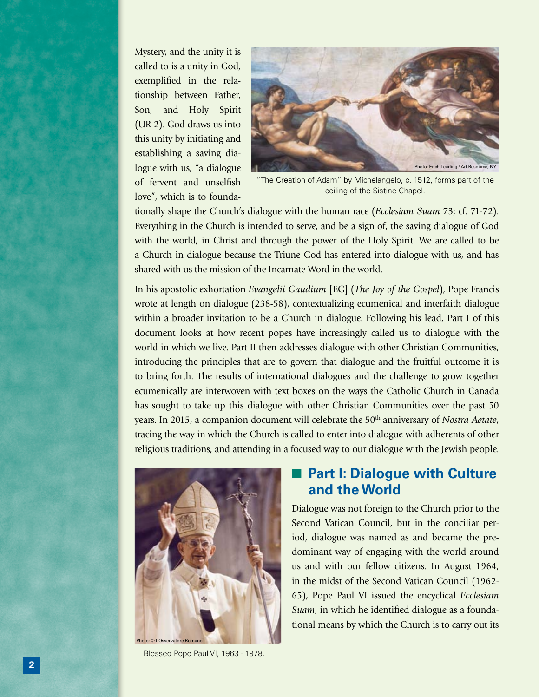Mystery, and the unity it is called to is a unity in God, exemplified in the relationship between Father, Son, and Holy Spirit (UR 2). God draws us into this unity by initiating and establishing a saving dialogue with us, "a dialogue of fervent and unselfish love", which is to founda-



"The Creation of Adam" by Michelangelo, c. 1512, forms part of the ceiling of the Sistine Chapel.

tionally shape the Church's dialogue with the human race (*Ecclesiam Suam* 73; cf. 71-72). Everything in the Church is intended to serve, and be a sign of, the saving dialogue of God with the world, in Christ and through the power of the Holy Spirit. We are called to be a Church in dialogue because the Triune God has entered into dialogue with us, and has shared with us the mission of the Incarnate Word in the world.

In his apostolic exhortation *Evangelii Gaudium* [EG] (*The Joy of the Gospel*), Pope Francis wrote at length on dialogue (238-58), contextualizing ecumenical and interfaith dialogue within a broader invitation to be a Church in dialogue. Following his lead, Part I of this document looks at how recent popes have increasingly called us to dialogue with the world in which we live. Part II then addresses dialogue with other Christian Communities, introducing the principles that are to govern that dialogue and the fruitful outcome it is to bring forth. The results of international dialogues and the challenge to grow together ecumenically are interwoven with text boxes on the ways the Catholic Church in Canada has sought to take up this dialogue with other Christian Communities over the past 50 years. In 2015, a companion document will celebrate the 50<sup>th</sup> anniversary of *Nostra Aetate*, tracing the way in which the Church is called to enter into dialogue with adherents of other religious traditions, and attending in a focused way to our dialogue with the Jewish people.



Blessed Pope Paul VI, 1963 - 1978.

# ■ **Part I: Dialogue with Culture and the World**

Dialogue was not foreign to the Church prior to the Second Vatican Council, but in the conciliar period, dialogue was named as and became the predominant way of engaging with the world around us and with our fellow citizens. In August 1964, in the midst of the Second Vatican Council (1962- 65), Pope Paul VI issued the encyclical *Ecclesiam Suam*, in which he identified dialogue as a foundational means by which the Church is to carry out its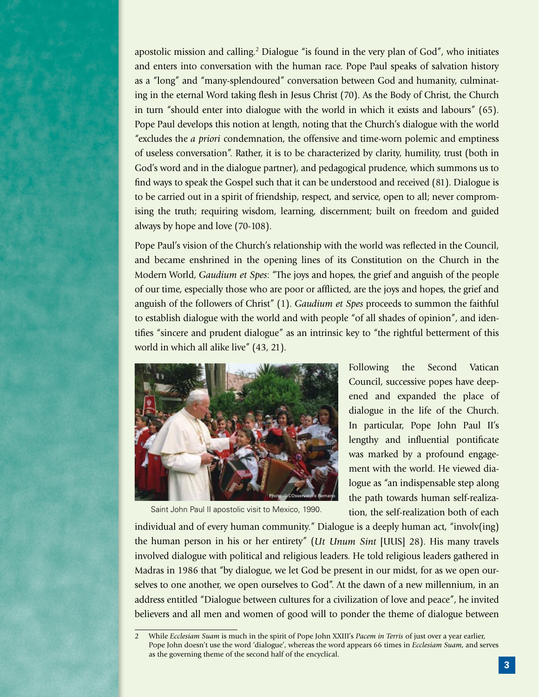apostolic mission and calling.2 Dialogue "is found in the very plan of God", who initiates and enters into conversation with the human race. Pope Paul speaks of salvation history as a "long" and "many-splendoured" conversation between God and humanity, culminating in the eternal Word taking flesh in Jesus Christ (70). As the Body of Christ, the Church in turn "should enter into dialogue with the world in which it exists and labours" (65). Pope Paul develops this notion at length, noting that the Church's dialogue with the world "excludes the *a priori* condemnation, the offensive and time-worn polemic and emptiness of useless conversation". Rather, it is to be characterized by clarity, humility, trust (both in God's word and in the dialogue partner), and pedagogical prudence, which summons us to find ways to speak the Gospel such that it can be understood and received (81). Dialogue is to be carried out in a spirit of friendship, respect, and service, open to all; never compromising the truth; requiring wisdom, learning, discernment; built on freedom and guided always by hope and love (70-108).

Pope Paul's vision of the Church's relationship with the world was reflected in the Council, and became enshrined in the opening lines of its Constitution on the Church in the Modern World, *Gaudium et Spes*: "The joys and hopes, the grief and anguish of the people of our time, especially those who are poor or afflicted, are the joys and hopes, the grief and anguish of the followers of Christ" (1). *Gaudium et Spes* proceeds to summon the faithful to establish dialogue with the world and with people "of all shades of opinion", and identifies "sincere and prudent dialogue" as an intrinsic key to "the rightful betterment of this world in which all alike live" (43, 21).



Saint John Paul II apostolic visit to Mexico, 1990.

Following the Second Vatican Council, successive popes have deepened and expanded the place of dialogue in the life of the Church. In particular, Pope John Paul II's lengthy and influential pontificate was marked by a profound engagement with the world. He viewed dialogue as "an indispensable step along the path towards human self-realization, the self-realization both of each

individual and of every human community." Dialogue is a deeply human act, "involv(ing) the human person in his or her entirety" (*Ut Unum Sint* [UUS] 28). His many travels involved dialogue with political and religious leaders. He told religious leaders gathered in Madras in 1986 that "by dialogue, we let God be present in our midst, for as we open ourselves to one another, we open ourselves to God". At the dawn of a new millennium, in an address entitled "Dialogue between cultures for a civilization of love and peace", he invited believers and all men and women of good will to ponder the theme of dialogue between

<sup>2</sup> While *Ecclesiam Suam* is much in the spirit of Pope John XXIII's *Pacem in Terris* of just over a year earlier, Pope John doesn't use the word 'dialogue', whereas the word appears 66 times in *Ecclesiam Suam*, and serves as the governing theme of the second half of the encyclical.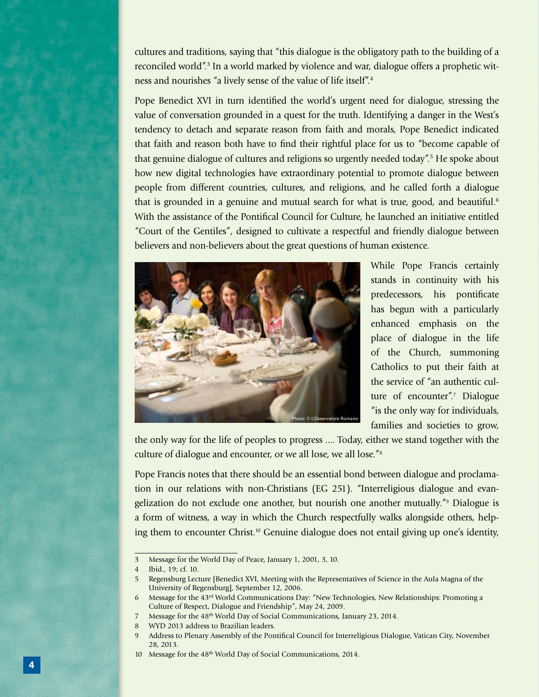cultures and traditions, saying that "this dialogue is the obligatory path to the building of a reconciled world".3 In a world marked by violence and war, dialogue offers a prophetic witness and nourishes "a lively sense of the value of life itself".4

Pope Benedict XVI in turn identified the world's urgent need for dialogue, stressing the value of conversation grounded in a quest for the truth. Identifying a danger in the West's tendency to detach and separate reason from faith and morals, Pope Benedict indicated that faith and reason both have to find their rightful place for us to "become capable of that genuine dialogue of cultures and religions so urgently needed today".<sup>5</sup> He spoke about how new digital technologies have extraordinary potential to promote dialogue between people from different countries, cultures, and religions, and he called forth a dialogue that is grounded in a genuine and mutual search for what is true, good, and beautiful.<sup>6</sup> With the assistance of the Pontifical Council for Culture, he launched an initiative entitled "Court of the Gentiles", designed to cultivate a respectful and friendly dialogue between believers and non-believers about the great questions of human existence.



While Pope Francis certainly stands in continuity with his predecessors, his pontificate has begun with a particularly enhanced emphasis on the place of dialogue in the life of the Church, summoning Catholics to put their faith at the service of "an authentic culture of encounter".7 Dialogue "is the only way for individuals, families and societies to grow,

the only way for the life of peoples to progress .... Today, either we stand together with the culture of dialogue and encounter, or we all lose, we all lose."8

Pope Francis notes that there should be an essential bond between dialogue and proclamation in our relations with non-Christians (EG 251). "Interreligious dialogue and evangelization do not exclude one another, but nourish one another mutually."<sup>9</sup> Dialogue is a form of witness, a way in which the Church respectfully walks alongside others, helping them to encounter Christ.<sup>10</sup> Genuine dialogue does not entail giving up one's identity,

<sup>3</sup> Message for the World Day of Peace, January 1, 2001, 3, 10.

<sup>4</sup> Ibid., 19; cf. 10.

<sup>5</sup> Regensburg Lecture [Benedict XVI, Meeting with the Representatives of Science in the Aula Magna of the University of Regensburg], September 12, 2006.

<sup>6</sup> Message for the 43rd World Communications Day: "New Technologies, New Relationships: Promoting a Culture of Respect, Dialogue and Friendship", May 24, 2009.

<sup>7</sup> Message for the 48<sup>th</sup> World Day of Social Communications, January 23, 2014.

<sup>8</sup> WYD 2013 address to Brazilian leaders.

<sup>9</sup> Address to Plenary Assembly of the Pontifical Council for Interreligious Dialogue, Vatican City, November 28, 2013.

<sup>10</sup> Message for the 48<sup>th</sup> World Day of Social Communications, 2014.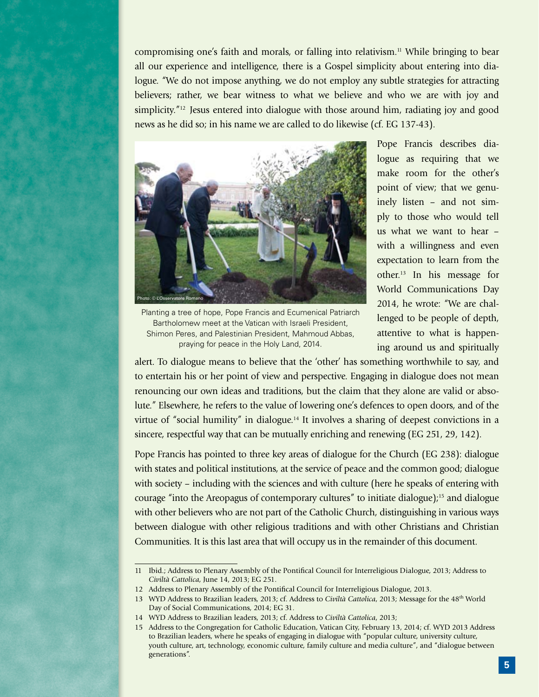compromising one's faith and morals, or falling into relativism.<sup>11</sup> While bringing to bear all our experience and intelligence, there is a Gospel simplicity about entering into dialogue. "We do not impose anything, we do not employ any subtle strategies for attracting believers; rather, we bear witness to what we believe and who we are with joy and simplicity."12 Jesus entered into dialogue with those around him, radiating joy and good news as he did so; in his name we are called to do likewise (cf. EG 137-43).



Planting a tree of hope, Pope Francis and Ecumenical Patriarch Bartholomew meet at the Vatican with Israeli President, Shimon Peres, and Palestinian President, Mahmoud Abbas, praying for peace in the Holy Land, 2014.

Pope Francis describes dialogue as requiring that we make room for the other's point of view; that we genuinely listen – and not simply to those who would tell us what we want to hear – with a willingness and even expectation to learn from the other.13 In his message for World Communications Day 2014, he wrote: "We are challenged to be people of depth, attentive to what is happening around us and spiritually

alert. To dialogue means to believe that the 'other' has something worthwhile to say, and to entertain his or her point of view and perspective. Engaging in dialogue does not mean renouncing our own ideas and traditions, but the claim that they alone are valid or absolute." Elsewhere, he refers to the value of lowering one's defences to open doors, and of the virtue of "social humility" in dialogue.14 It involves a sharing of deepest convictions in a sincere, respectful way that can be mutually enriching and renewing (EG 251, 29, 142).

Pope Francis has pointed to three key areas of dialogue for the Church (EG 238): dialogue with states and political institutions, at the service of peace and the common good; dialogue with society – including with the sciences and with culture (here he speaks of entering with courage "into the Areopagus of contemporary cultures" to initiate dialogue);15 and dialogue with other believers who are not part of the Catholic Church, distinguishing in various ways between dialogue with other religious traditions and with other Christians and Christian Communities. It is this last area that will occupy us in the remainder of this document.

<sup>11</sup> Ibid.; Address to Plenary Assembly of the Pontifical Council for Interreligious Dialogue, 2013; Address to *Civiltà Cattolica*, June 14, 2013; EG 251.

<sup>12</sup> Address to Plenary Assembly of the Pontifical Council for Interreligious Dialogue, 2013.

<sup>13</sup> WYD Address to Brazilian leaders, 2013; cf. Address to *Civiltà Cattolica*, 2013; Message for the 48th World Day of Social Communications, 2014; EG 31.

<sup>14</sup> WYD Address to Brazilian leaders, 2013; cf. Address to *Civiltà Cattolica*, 2013;

<sup>15</sup> Address to the Congregation for Catholic Education, Vatican City, February 13, 2014; cf. WYD 2013 Address to Brazilian leaders, where he speaks of engaging in dialogue with "popular culture, university culture, youth culture, art, technology, economic culture, family culture and media culture", and "dialogue between generations".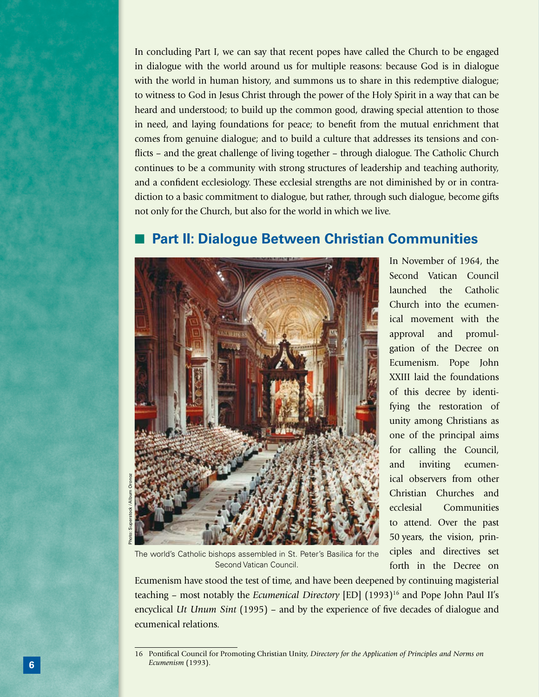In concluding Part I, we can say that recent popes have called the Church to be engaged in dialogue with the world around us for multiple reasons: because God is in dialogue with the world in human history, and summons us to share in this redemptive dialogue; to witness to God in Jesus Christ through the power of the Holy Spirit in a way that can be heard and understood; to build up the common good, drawing special attention to those in need, and laying foundations for peace; to benefit from the mutual enrichment that comes from genuine dialogue; and to build a culture that addresses its tensions and conflicts – and the great challenge of living together – through dialogue. The Catholic Church continues to be a community with strong structures of leadership and teaching authority, and a confident ecclesiology. These ecclesial strengths are not diminished by or in contradiction to a basic commitment to dialogue, but rather, through such dialogue, become gifts not only for the Church, but also for the world in which we live.

# **Part II: Dialogue Between Christian Communities**



In November of 1964, the Second Vatican Council launched the Catholic Church into the ecumenical movement with the approval and promulgation of the Decree on Ecumenism. Pope John XXIII laid the foundations of this decree by identifying the restoration of unity among Christians as one of the principal aims for calling the Council, and inviting ecumenical observers from other Christian Churches and ecclesial Communities to attend. Over the past 50 years, the vision, principles and directives set forth in the Decree on

The world's Catholic bishops assembled in St. Peter's Basilica for the Second Vatican Council.

Ecumenism have stood the test of time, and have been deepened by continuing magisterial teaching - most notably the *Ecumenical Directory* [ED] (1993)<sup>16</sup> and Pope John Paul II's encyclical *Ut Unum Sint* (1995) – and by the experience of five decades of dialogue and ecumenical relations.

<sup>16</sup> Pontifical Council for Promoting Christian Unity, *Directory for the Application of Principles and Norms on Ecumenism* (1993).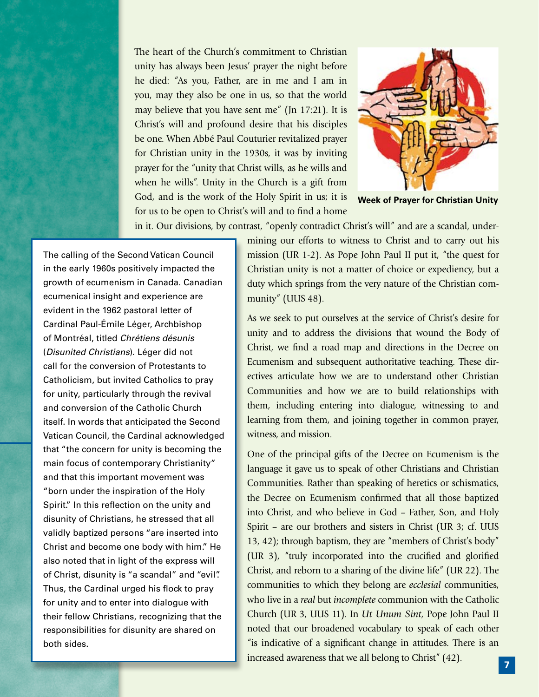The heart of the Church's commitment to Christian unity has always been Jesus' prayer the night before he died: "As you, Father, are in me and I am in you, may they also be one in us, so that the world may believe that you have sent me" (Jn 17:21). It is Christ's will and profound desire that his disciples be one. When Abbé Paul Couturier revitalized prayer for Christian unity in the 1930s, it was by inviting prayer for the "unity that Christ wills, as he wills and when he wills". Unity in the Church is a gift from God, and is the work of the Holy Spirit in us; it is for us to be open to Christ's will and to find a home



**Week of Prayer for Christian Unity**

in it. Our divisions, by contrast, "openly contradict Christ's will" and are a scandal, under-

The calling of the Second Vatican Council in the early 1960s positively impacted the growth of ecumenism in Canada. Canadian ecumenical insight and experience are evident in the 1962 pastoral letter of Cardinal Paul-Émile Léger, Archbishop of Montréal, titled *Chrétiens désunis*  (*Disunited Christians*). Léger did not call for the conversion of Protestants to Catholicism, but invited Catholics to pray for unity, particularly through the revival and conversion of the Catholic Church itself. In words that anticipated the Second Vatican Council, the Cardinal acknowledged that "the concern for unity is becoming the main focus of contemporary Christianity" and that this important movement was "born under the inspiration of the Holy Spirit." In this reflection on the unity and disunity of Christians, he stressed that all validly baptized persons "are inserted into Christ and become one body with him." He also noted that in light of the express will of Christ, disunity is "a scandal" and "evil". Thus, the Cardinal urged his flock to pray for unity and to enter into dialogue with their fellow Christians, recognizing that the responsibilities for disunity are shared on both sides.

mining our efforts to witness to Christ and to carry out his mission (UR 1-2). As Pope John Paul II put it, "the quest for Christian unity is not a matter of choice or expediency, but a duty which springs from the very nature of the Christian community" (UUS 48).

As we seek to put ourselves at the service of Christ's desire for unity and to address the divisions that wound the Body of Christ, we find a road map and directions in the Decree on Ecumenism and subsequent authoritative teaching. These directives articulate how we are to understand other Christian Communities and how we are to build relationships with them, including entering into dialogue, witnessing to and learning from them, and joining together in common prayer, witness, and mission.

One of the principal gifts of the Decree on Ecumenism is the language it gave us to speak of other Christians and Christian Communities. Rather than speaking of heretics or schismatics, the Decree on Ecumenism confirmed that all those baptized into Christ, and who believe in God – Father, Son, and Holy Spirit – are our brothers and sisters in Christ (UR 3; cf. UUS 13, 42); through baptism, they are "members of Christ's body" (UR 3), "truly incorporated into the crucified and glorified Christ, and reborn to a sharing of the divine life" (UR 22). The communities to which they belong are *ecclesial* communities, who live in a *real* but *incomplete* communion with the Catholic Church (UR 3, UUS 11). In *Ut Unum Sint*, Pope John Paul II noted that our broadened vocabulary to speak of each other "is indicative of a significant change in attitudes. There is an increased awareness that we all belong to Christ" (42).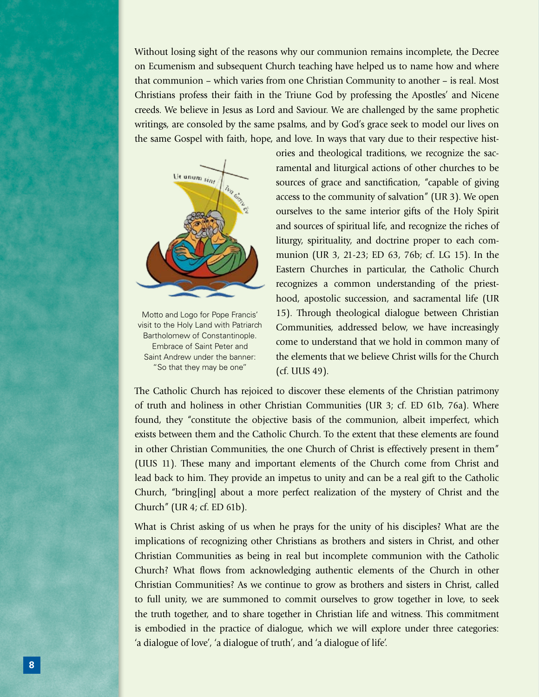Without losing sight of the reasons why our communion remains incomplete, the Decree on Ecumenism and subsequent Church teaching have helped us to name how and where that communion – which varies from one Christian Community to another – is real. Most Christians profess their faith in the Triune God by professing the Apostles' and Nicene creeds. We believe in Jesus as Lord and Saviour. We are challenged by the same prophetic writings, are consoled by the same psalms, and by God's grace seek to model our lives on the same Gospel with faith, hope, and love. In ways that vary due to their respective hist-



Motto and Logo for Pope Francis' visit to the Holy Land with Patriarch Bartholomew of Constantinople. Embrace of Saint Peter and Saint Andrew under the banner: "So that they may be one"

ories and theological traditions, we recognize the sacramental and liturgical actions of other churches to be sources of grace and sanctification, "capable of giving access to the community of salvation" (UR 3). We open ourselves to the same interior gifts of the Holy Spirit and sources of spiritual life, and recognize the riches of liturgy, spirituality, and doctrine proper to each communion (UR 3, 21-23; ED 63, 76b; cf. LG 15). In the Eastern Churches in particular, the Catholic Church recognizes a common understanding of the priesthood, apostolic succession, and sacramental life (UR 15). Through theological dialogue between Christian Communities, addressed below, we have increasingly come to understand that we hold in common many of the elements that we believe Christ wills for the Church (cf. UUS 49).

The Catholic Church has rejoiced to discover these elements of the Christian patrimony of truth and holiness in other Christian Communities (UR 3; cf. ED 61b, 76a). Where found, they "constitute the objective basis of the communion, albeit imperfect, which exists between them and the Catholic Church. To the extent that these elements are found in other Christian Communities, the one Church of Christ is effectively present in them" (UUS 11). These many and important elements of the Church come from Christ and lead back to him. They provide an impetus to unity and can be a real gift to the Catholic Church, "bring[ing] about a more perfect realization of the mystery of Christ and the Church" (UR 4; cf. ED 61b).

What is Christ asking of us when he prays for the unity of his disciples? What are the implications of recognizing other Christians as brothers and sisters in Christ, and other Christian Communities as being in real but incomplete communion with the Catholic Church? What flows from acknowledging authentic elements of the Church in other Christian Communities? As we continue to grow as brothers and sisters in Christ, called to full unity, we are summoned to commit ourselves to grow together in love, to seek the truth together, and to share together in Christian life and witness. This commitment is embodied in the practice of dialogue, which we will explore under three categories: 'a dialogue of love', 'a dialogue of truth', and 'a dialogue of life'.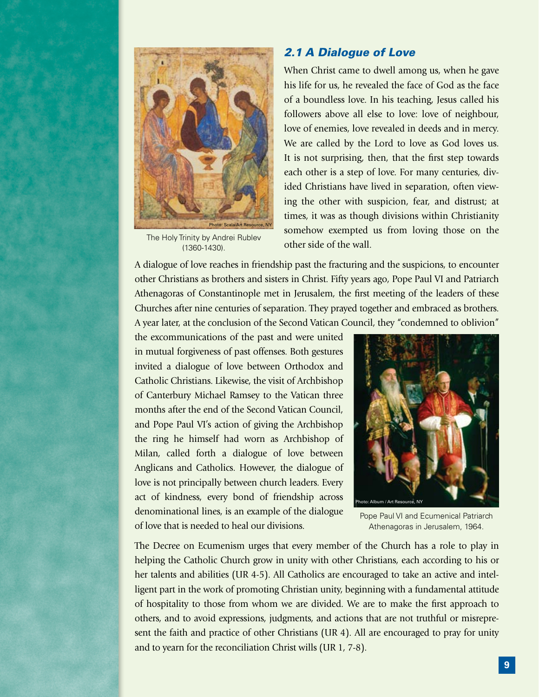

The Holy Trinity by Andrei Rublev (1360-1430).

## *2.1 A Dialogue of Love*

When Christ came to dwell among us, when he gave his life for us, he revealed the face of God as the face of a boundless love. In his teaching, Jesus called his followers above all else to love: love of neighbour, love of enemies, love revealed in deeds and in mercy. We are called by the Lord to love as God loves us. It is not surprising, then, that the first step towards each other is a step of love. For many centuries, divided Christians have lived in separation, often viewing the other with suspicion, fear, and distrust; at times, it was as though divisions within Christianity somehow exempted us from loving those on the other side of the wall.

A dialogue of love reaches in friendship past the fracturing and the suspicions, to encounter other Christians as brothers and sisters in Christ. Fifty years ago, Pope Paul VI and Patriarch Athenagoras of Constantinople met in Jerusalem, the first meeting of the leaders of these Churches after nine centuries of separation. They prayed together and embraced as brothers. A year later, at the conclusion of the Second Vatican Council, they "condemned to oblivion"

the excommunications of the past and were united in mutual forgiveness of past offenses. Both gestures invited a dialogue of love between Orthodox and Catholic Christians. Likewise, the visit of Archbishop of Canterbury Michael Ramsey to the Vatican three months after the end of the Second Vatican Council, and Pope Paul VI's action of giving the Archbishop the ring he himself had worn as Archbishop of Milan, called forth a dialogue of love between Anglicans and Catholics. However, the dialogue of love is not principally between church leaders. Every act of kindness, every bond of friendship across denominational lines, is an example of the dialogue of love that is needed to heal our divisions.



Pope Paul VI and Ecumenical Patriarch Athenagoras in Jerusalem, 1964.

The Decree on Ecumenism urges that every member of the Church has a role to play in helping the Catholic Church grow in unity with other Christians, each according to his or her talents and abilities (UR 4-5). All Catholics are encouraged to take an active and intelligent part in the work of promoting Christian unity, beginning with a fundamental attitude of hospitality to those from whom we are divided. We are to make the first approach to others, and to avoid expressions, judgments, and actions that are not truthful or misrepresent the faith and practice of other Christians (UR 4). All are encouraged to pray for unity and to yearn for the reconciliation Christ wills (UR 1, 7-8).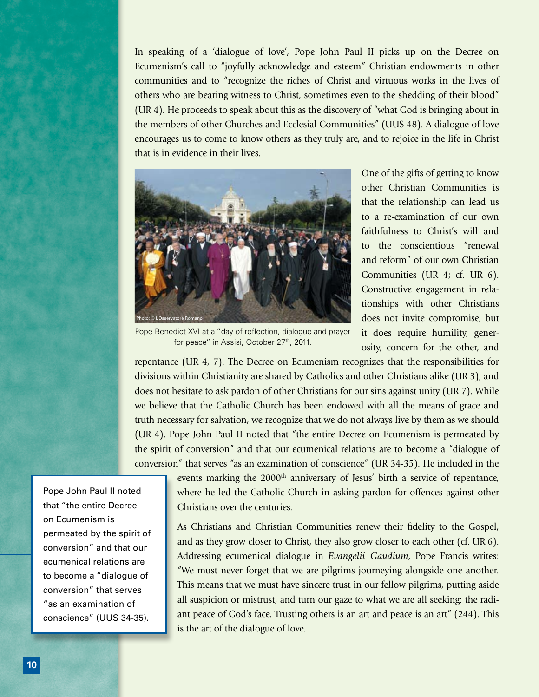In speaking of a 'dialogue of love', Pope John Paul II picks up on the Decree on Ecumenism's call to "joyfully acknowledge and esteem" Christian endowments in other communities and to "recognize the riches of Christ and virtuous works in the lives of others who are bearing witness to Christ, sometimes even to the shedding of their blood" (UR 4). He proceeds to speak about this as the discovery of "what God is bringing about in the members of other Churches and Ecclesial Communities" (UUS 48). A dialogue of love encourages us to come to know others as they truly are, and to rejoice in the life in Christ that is in evidence in their lives.



One of the gifts of getting to know other Christian Communities is that the relationship can lead us to a re-examination of our own faithfulness to Christ's will and to the conscientious "renewal and reform" of our own Christian Communities (UR 4; cf. UR 6). Constructive engagement in relationships with other Christians does not invite compromise, but it does require humility, generosity, concern for the other, and

Pope Benedict XVI at a "day of reflection, dialogue and prayer for peace" in Assisi, October 27<sup>th</sup>, 2011.

repentance (UR 4, 7). The Decree on Ecumenism recognizes that the responsibilities for divisions within Christianity are shared by Catholics and other Christians alike (UR 3), and does not hesitate to ask pardon of other Christians for our sins against unity (UR 7). While we believe that the Catholic Church has been endowed with all the means of grace and truth necessary for salvation, we recognize that we do not always live by them as we should (UR 4). Pope John Paul II noted that "the entire Decree on Ecumenism is permeated by the spirit of conversion" and that our ecumenical relations are to become a "dialogue of conversion" that serves "as an examination of conscience" (UR 34-35). He included in the

> events marking the 2000<sup>th</sup> anniversary of Jesus' birth a service of repentance, where he led the Catholic Church in asking pardon for offences against other Christians over the centuries.

> As Christians and Christian Communities renew their fidelity to the Gospel, and as they grow closer to Christ, they also grow closer to each other (cf. UR 6). Addressing ecumenical dialogue in *Evangelii Gaudium*, Pope Francis writes: "We must never forget that we are pilgrims journeying alongside one another. This means that we must have sincere trust in our fellow pilgrims, putting aside all suspicion or mistrust, and turn our gaze to what we are all seeking: the radiant peace of God's face. Trusting others is an art and peace is an art" (244). This is the art of the dialogue of love.

Pope John Paul II noted that "the entire Decree on Ecumenism is permeated by the spirit of conversion" and that our ecumenical relations are to become a "dialogue of conversion" that serves "as an examination of conscience" (UUS 34-35).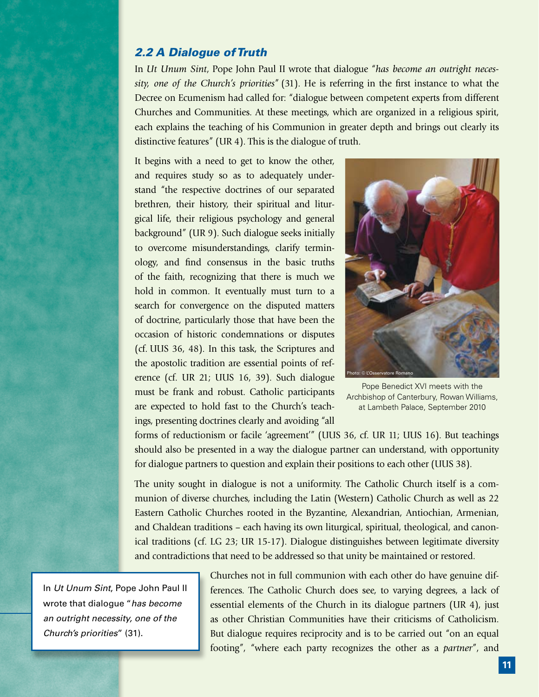## *2.2 A Dialogue of Truth*

In *Ut Unum Sint*, Pope John Paul II wrote that dialogue "*has become an outright necessity, one of the Church's priorities*" (31). He is referring in the first instance to what the Decree on Ecumenism had called for: "dialogue between competent experts from different Churches and Communities. At these meetings, which are organized in a religious spirit, each explains the teaching of his Communion in greater depth and brings out clearly its distinctive features" (UR 4). This is the dialogue of truth.

It begins with a need to get to know the other, and requires study so as to adequately understand "the respective doctrines of our separated brethren, their history, their spiritual and liturgical life, their religious psychology and general background" (UR 9). Such dialogue seeks initially to overcome misunderstandings, clarify terminology, and find consensus in the basic truths of the faith, recognizing that there is much we hold in common. It eventually must turn to a search for convergence on the disputed matters of doctrine, particularly those that have been the occasion of historic condemnations or disputes (cf. UUS 36, 48). In this task, the Scriptures and the apostolic tradition are essential points of reference (cf. UR 21; UUS 16, 39). Such dialogue must be frank and robust. Catholic participants are expected to hold fast to the Church's teachings, presenting doctrines clearly and avoiding "all



Pope Benedict XVI meets with the Archbishop of Canterbury, Rowan Williams, at Lambeth Palace, September 2010

forms of reductionism or facile 'agreement'" (UUS 36, cf. UR 11; UUS 16). But teachings should also be presented in a way the dialogue partner can understand, with opportunity for dialogue partners to question and explain their positions to each other (UUS 38).

The unity sought in dialogue is not a uniformity. The Catholic Church itself is a communion of diverse churches, including the Latin (Western) Catholic Church as well as 22 Eastern Catholic Churches rooted in the Byzantine, Alexandrian, Antiochian, Armenian, and Chaldean traditions – each having its own liturgical, spiritual, theological, and canonical traditions (cf. LG 23; UR 15-17). Dialogue distinguishes between legitimate diversity and contradictions that need to be addressed so that unity be maintained or restored.

In *Ut Unum Sint*, Pope John Paul II wrote that dialogue "*has become an outright necessity, one of the Church's priorities*" (31).

Churches not in full communion with each other do have genuine differences. The Catholic Church does see, to varying degrees, a lack of essential elements of the Church in its dialogue partners (UR 4), just as other Christian Communities have their criticisms of Catholicism. But dialogue requires reciprocity and is to be carried out "on an equal footing", "where each party recognizes the other as a *partner*", and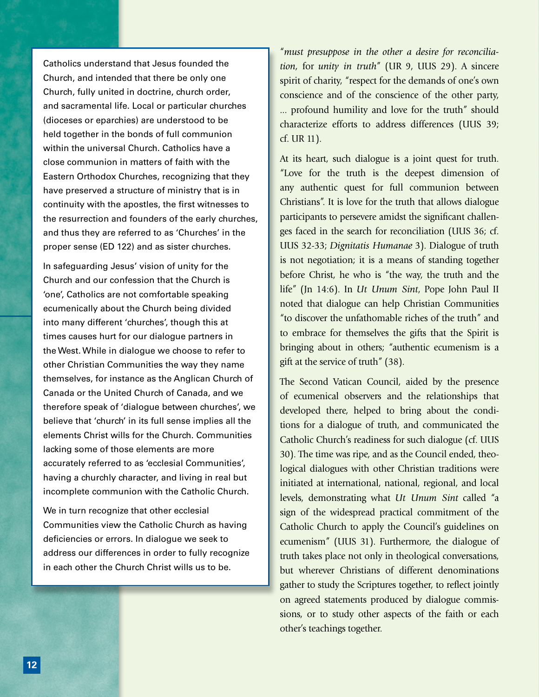Catholics understand that Jesus founded the Church, and intended that there be only one Church, fully united in doctrine, church order, and sacramental life. Local or particular churches (dioceses or eparchies) are understood to be held together in the bonds of full communion within the universal Church. Catholics have a close communion in matters of faith with the Eastern Orthodox Churches, recognizing that they have preserved a structure of ministry that is in continuity with the apostles, the first witnesses to the resurrection and founders of the early churches, and thus they are referred to as 'Churches' in the proper sense (ED 122) and as sister churches.

In safeguarding Jesus' vision of unity for the Church and our confession that the Church is 'one', Catholics are not comfortable speaking ecumenically about the Church being divided into many different 'churches', though this at times causes hurt for our dialogue partners in the West. While in dialogue we choose to refer to other Christian Communities the way they name themselves, for instance as the Anglican Church of Canada or the United Church of Canada, and we therefore speak of 'dialogue between churches', we believe that 'church' in its full sense implies all the elements Christ wills for the Church. Communities lacking some of those elements are more accurately referred to as 'ecclesial Communities', having a churchly character, and living in real but incomplete communion with the Catholic Church.

We in turn recognize that other ecclesial Communities view the Catholic Church as having deficiencies or errors. In dialogue we seek to address our differences in order to fully recognize in each other the Church Christ wills us to be.

"*must presuppose in the other a desire for reconciliation,* for *unity in truth*" (UR 9, UUS 29). A sincere spirit of charity, "respect for the demands of one's own conscience and of the conscience of the other party, ... profound humility and love for the truth" should characterize efforts to address differences (UUS 39; cf. UR 11).

At its heart, such dialogue is a joint quest for truth. "Love for the truth is the deepest dimension of any authentic quest for full communion between Christians". It is love for the truth that allows dialogue participants to persevere amidst the significant challenges faced in the search for reconciliation (UUS 36; cf. UUS 32-33; *Dignitatis Humanae* 3). Dialogue of truth is not negotiation; it is a means of standing together before Christ, he who is "the way, the truth and the life" (Jn 14:6). In *Ut Unum Sint*, Pope John Paul II noted that dialogue can help Christian Communities "to discover the unfathomable riches of the truth" and to embrace for themselves the gifts that the Spirit is bringing about in others; "authentic ecumenism is a gift at the service of truth" (38).

The Second Vatican Council, aided by the presence of ecumenical observers and the relationships that developed there, helped to bring about the conditions for a dialogue of truth, and communicated the Catholic Church's readiness for such dialogue (cf. UUS 30). The time was ripe, and as the Council ended, theological dialogues with other Christian traditions were initiated at international, national, regional, and local levels, demonstrating what *Ut Unum Sint* called "a sign of the widespread practical commitment of the Catholic Church to apply the Council's guidelines on ecumenism" (UUS 31). Furthermore, the dialogue of truth takes place not only in theological conversations, but wherever Christians of different denominations gather to study the Scriptures together, to reflect jointly on agreed statements produced by dialogue commissions, or to study other aspects of the faith or each other's teachings together.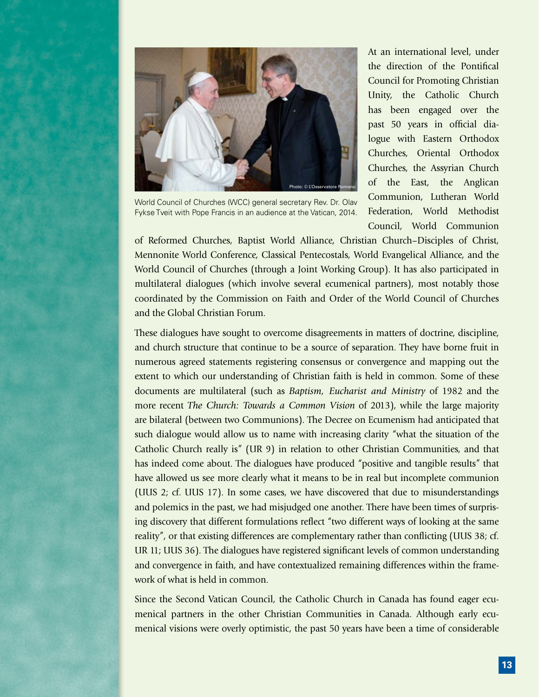

World Council of Churches (WCC) general secretary Rev. Dr. Olav Fykse Tveit with Pope Francis in an audience at the Vatican, 2014.

At an international level, under the direction of the Pontifical Council for Promoting Christian Unity, the Catholic Church has been engaged over the past 50 years in official dialogue with Eastern Orthodox Churches, Oriental Orthodox Churches, the Assyrian Church of the East, the Anglican Communion, Lutheran World Federation, World Methodist Council, World Communion

of Reformed Churches, Baptist World Alliance, Christian Church–Disciples of Christ, Mennonite World Conference, Classical Pentecostals, World Evangelical Alliance, and the World Council of Churches (through a Joint Working Group). It has also participated in multilateral dialogues (which involve several ecumenical partners), most notably those coordinated by the Commission on Faith and Order of the World Council of Churches and the Global Christian Forum.

These dialogues have sought to overcome disagreements in matters of doctrine, discipline, and church structure that continue to be a source of separation. They have borne fruit in numerous agreed statements registering consensus or convergence and mapping out the extent to which our understanding of Christian faith is held in common. Some of these documents are multilateral (such as *Baptism, Eucharist and Ministry* of 1982 and the more recent *The Church: Towards a Common Vision* of 2013), while the large majority are bilateral (between two Communions). The Decree on Ecumenism had anticipated that such dialogue would allow us to name with increasing clarity "what the situation of the Catholic Church really is" (UR 9) in relation to other Christian Communities, and that has indeed come about. The dialogues have produced "positive and tangible results" that have allowed us see more clearly what it means to be in real but incomplete communion (UUS 2; cf. UUS 17). In some cases, we have discovered that due to misunderstandings and polemics in the past, we had misjudged one another. There have been times of surprising discovery that different formulations reflect "two different ways of looking at the same reality", or that existing differences are complementary rather than conflicting (UUS 38; cf. UR 11; UUS 36). The dialogues have registered significant levels of common understanding and convergence in faith, and have contextualized remaining differences within the framework of what is held in common.

Since the Second Vatican Council, the Catholic Church in Canada has found eager ecumenical partners in the other Christian Communities in Canada. Although early ecumenical visions were overly optimistic, the past 50 years have been a time of considerable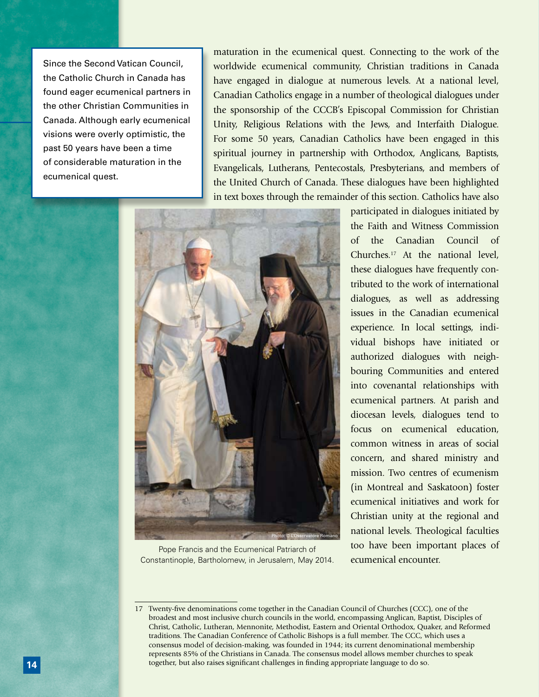Since the Second Vatican Council, the Catholic Church in Canada has found eager ecumenical partners in the other Christian Communities in Canada. Although early ecumenical visions were overly optimistic, the past 50 years have been a time of considerable maturation in the ecumenical quest.

maturation in the ecumenical quest. Connecting to the work of the worldwide ecumenical community, Christian traditions in Canada have engaged in dialogue at numerous levels. At a national level, Canadian Catholics engage in a number of theological dialogues under the sponsorship of the CCCB's Episcopal Commission for Christian Unity, Religious Relations with the Jews, and Interfaith Dialogue. For some 50 years, Canadian Catholics have been engaged in this spiritual journey in partnership with Orthodox, Anglicans, Baptists, Evangelicals, Lutherans, Pentecostals, Presbyterians, and members of the United Church of Canada. These dialogues have been highlighted in text boxes through the remainder of this section. Catholics have also



Pope Francis and the Ecumenical Patriarch of Constantinople, Bartholomew, in Jerusalem, May 2014.

participated in dialogues initiated by the Faith and Witness Commission of the Canadian Council of Churches.17 At the national level, these dialogues have frequently contributed to the work of international dialogues, as well as addressing issues in the Canadian ecumenical experience. In local settings, individual bishops have initiated or authorized dialogues with neighbouring Communities and entered into covenantal relationships with ecumenical partners. At parish and diocesan levels, dialogues tend to focus on ecumenical education, common witness in areas of social concern, and shared ministry and mission. Two centres of ecumenism (in Montreal and Saskatoon) foster ecumenical initiatives and work for Christian unity at the regional and national levels. Theological faculties too have been important places of ecumenical encounter.

<sup>17</sup> Twenty-five denominations come together in the Canadian Council of Churches (CCC), one of the broadest and most inclusive church councils in the world, encompassing Anglican, Baptist, Disciples of Christ, Catholic, Lutheran, Mennonite, Methodist, Eastern and Oriental Orthodox, Quaker, and Reformed traditions. The Canadian Conference of Catholic Bishops is a full member. The CCC, which uses a consensus model of decision-making, was founded in 1944; its current denominational membership represents 85% of the Christians in Canada. The consensus model allows member churches to speak together, but also raises significant challenges in finding appropriate language to do so.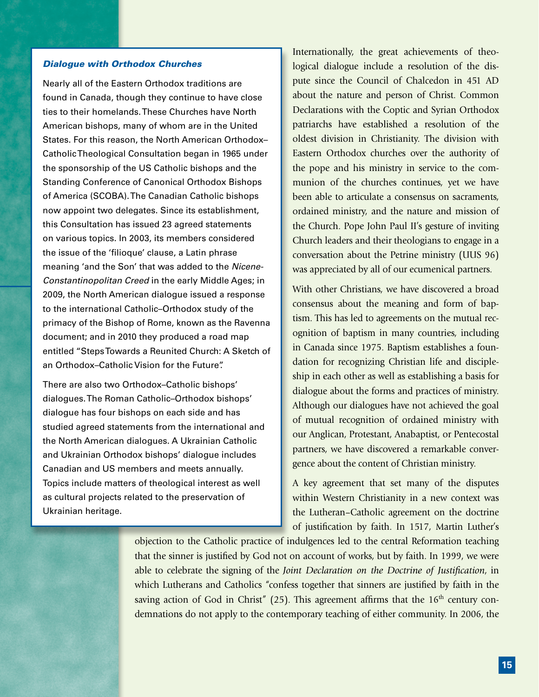#### *Dialogue with Orthodox Churches*

Nearly all of the Eastern Orthodox traditions are found in Canada, though they continue to have close ties to their homelands. These Churches have North American bishops, many of whom are in the United States. For this reason, the North American Orthodox– Catholic Theological Consultation began in 1965 under the sponsorship of the US Catholic bishops and the Standing Conference of Canonical Orthodox Bishops of America (SCOBA). The Canadian Catholic bishops now appoint two delegates. Since its establishment, this Consultation has issued 23 agreed statements on various topics. In 2003, its members considered the issue of the 'filioque' clause, a Latin phrase meaning 'and the Son' that was added to the *Nicene-Constantinopolitan Creed* in the early Middle Ages; in 2009, the North American dialogue issued a response to the international Catholic–Orthodox study of the primacy of the Bishop of Rome, known as the Ravenna document; and in 2010 they produced a road map entitled "Steps Towards a Reunited Church: A Sketch of an Orthodox–Catholic Vision for the Future".

There are also two Orthodox–Catholic bishops' dialogues. The Roman Catholic–Orthodox bishops' dialogue has four bishops on each side and has studied agreed statements from the international and the North American dialogues. A Ukrainian Catholic and Ukrainian Orthodox bishops' dialogue includes Canadian and US members and meets annually. Topics include matters of theological interest as well as cultural projects related to the preservation of Ukrainian heritage.

Internationally, the great achievements of theological dialogue include a resolution of the dispute since the Council of Chalcedon in 451 AD about the nature and person of Christ. Common Declarations with the Coptic and Syrian Orthodox patriarchs have established a resolution of the oldest division in Christianity. The division with Eastern Orthodox churches over the authority of the pope and his ministry in service to the communion of the churches continues, yet we have been able to articulate a consensus on sacraments, ordained ministry, and the nature and mission of the Church. Pope John Paul II's gesture of inviting Church leaders and their theologians to engage in a conversation about the Petrine ministry (UUS 96) was appreciated by all of our ecumenical partners.

With other Christians, we have discovered a broad consensus about the meaning and form of baptism. This has led to agreements on the mutual recognition of baptism in many countries, including in Canada since 1975. Baptism establishes a foundation for recognizing Christian life and discipleship in each other as well as establishing a basis for dialogue about the forms and practices of ministry. Although our dialogues have not achieved the goal of mutual recognition of ordained ministry with our Anglican, Protestant, Anabaptist, or Pentecostal partners, we have discovered a remarkable convergence about the content of Christian ministry.

A key agreement that set many of the disputes within Western Christianity in a new context was the Lutheran–Catholic agreement on the doctrine of justification by faith. In 1517, Martin Luther's

objection to the Catholic practice of indulgences led to the central Reformation teaching that the sinner is justified by God not on account of works, but by faith. In 1999, we were able to celebrate the signing of the *Joint Declaration on the Doctrine of Justification*, in which Lutherans and Catholics "confess together that sinners are justified by faith in the saving action of God in Christ" (25). This agreement affirms that the  $16<sup>th</sup>$  century condemnations do not apply to the contemporary teaching of either community. In 2006, the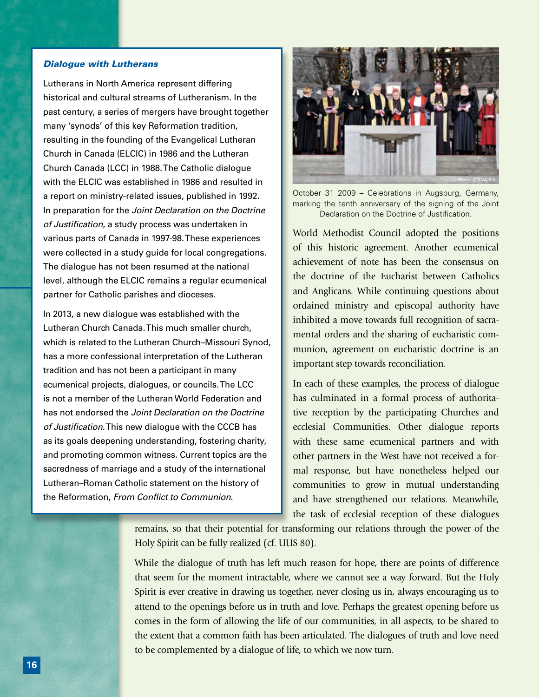#### *Dialogue with Lutherans*

Lutherans in North America represent differing historical and cultural streams of Lutheranism. In the past century, a series of mergers have brought together many 'synods' of this key Reformation tradition, resulting in the founding of the Evangelical Lutheran Church in Canada (ELCIC) in 1986 and the Lutheran Church Canada (LCC) in 1988. The Catholic dialogue with the ELCIC was established in 1986 and resulted in a report on ministry-related issues, published in 1992. In preparation for the *Joint Declaration on the Doctrine of Justification*, a study process was undertaken in various parts of Canada in 1997-98. These experiences were collected in a study guide for local congregations. The dialogue has not been resumed at the national level, although the ELCIC remains a regular ecumenical partner for Catholic parishes and dioceses.

In 2013, a new dialogue was established with the Lutheran Church Canada. This much smaller church, which is related to the Lutheran Church–Missouri Synod, has a more confessional interpretation of the Lutheran tradition and has not been a participant in many ecumenical projects, dialogues, or councils. The LCC is not a member of the Lutheran World Federation and has not endorsed the *Joint Declaration on the Doctrine of Justification*. This new dialogue with the CCCB has as its goals deepening understanding, fostering charity, and promoting common witness. Current topics are the sacredness of marriage and a study of the international Lutheran–Roman Catholic statement on the history of the Reformation, *From Conflict to Communion*.



October 31 2009 – Celebrations in Augsburg, Germany, marking the tenth anniversary of the signing of the Joint Declaration on the Doctrine of Justification.

World Methodist Council adopted the positions of this historic agreement. Another ecumenical achievement of note has been the consensus on the doctrine of the Eucharist between Catholics and Anglicans. While continuing questions about ordained ministry and episcopal authority have inhibited a move towards full recognition of sacramental orders and the sharing of eucharistic communion, agreement on eucharistic doctrine is an important step towards reconciliation.

In each of these examples, the process of dialogue has culminated in a formal process of authoritative reception by the participating Churches and ecclesial Communities. Other dialogue reports with these same ecumenical partners and with other partners in the West have not received a formal response, but have nonetheless helped our communities to grow in mutual understanding and have strengthened our relations. Meanwhile, the task of ecclesial reception of these dialogues

remains, so that their potential for transforming our relations through the power of the Holy Spirit can be fully realized (cf. UUS 80).

While the dialogue of truth has left much reason for hope, there are points of difference that seem for the moment intractable, where we cannot see a way forward. But the Holy Spirit is ever creative in drawing us together, never closing us in, always encouraging us to attend to the openings before us in truth and love. Perhaps the greatest opening before us comes in the form of allowing the life of our communities, in all aspects, to be shared to the extent that a common faith has been articulated. The dialogues of truth and love need to be complemented by a dialogue of life, to which we now turn.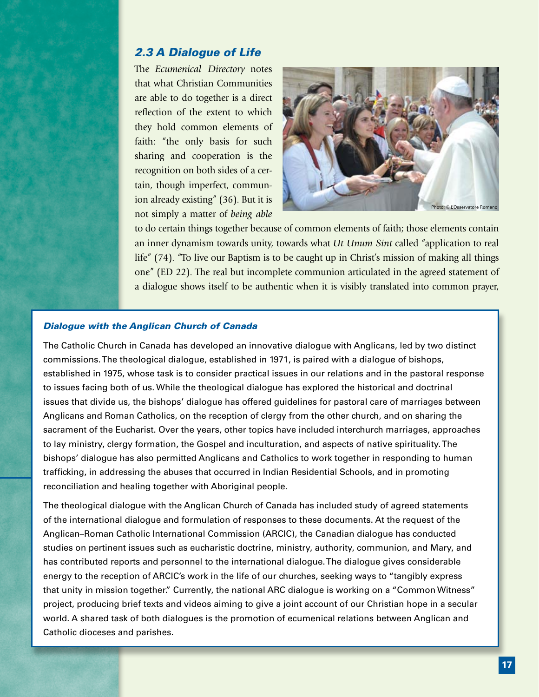## *2.3 A Dialogue of Life*

The *Ecumenical Directory* notes that what Christian Communities are able to do together is a direct reflection of the extent to which they hold common elements of faith: "the only basis for such sharing and cooperation is the recognition on both sides of a certain, though imperfect, communion already existing" (36). But it is not simply a matter of *being able* 



to do certain things together because of common elements of faith; those elements contain an inner dynamism towards unity, towards what *Ut Unum Sint* called "application to real life" (74). "To live our Baptism is to be caught up in Christ's mission of making all things one" (ED 22). The real but incomplete communion articulated in the agreed statement of a dialogue shows itself to be authentic when it is visibly translated into common prayer,

#### *Dialogue with the Anglican Church of Canada*

The Catholic Church in Canada has developed an innovative dialogue with Anglicans, led by two distinct commissions. The theological dialogue, established in 1971, is paired with a dialogue of bishops, established in 1975, whose task is to consider practical issues in our relations and in the pastoral response to issues facing both of us. While the theological dialogue has explored the historical and doctrinal issues that divide us, the bishops' dialogue has offered guidelines for pastoral care of marriages between Anglicans and Roman Catholics, on the reception of clergy from the other church, and on sharing the sacrament of the Eucharist. Over the years, other topics have included interchurch marriages, approaches to lay ministry, clergy formation, the Gospel and inculturation, and aspects of native spirituality. The bishops' dialogue has also permitted Anglicans and Catholics to work together in responding to human trafficking, in addressing the abuses that occurred in Indian Residential Schools, and in promoting reconciliation and healing together with Aboriginal people.

The theological dialogue with the Anglican Church of Canada has included study of agreed statements of the international dialogue and formulation of responses to these documents. At the request of the Anglican–Roman Catholic International Commission (ARCIC), the Canadian dialogue has conducted studies on pertinent issues such as eucharistic doctrine, ministry, authority, communion, and Mary, and has contributed reports and personnel to the international dialogue. The dialogue gives considerable energy to the reception of ARCIC's work in the life of our churches, seeking ways to "tangibly express that unity in mission together." Currently, the national ARC dialogue is working on a "Common Witness" project, producing brief texts and videos aiming to give a joint account of our Christian hope in a secular world. A shared task of both dialogues is the promotion of ecumenical relations between Anglican and Catholic dioceses and parishes.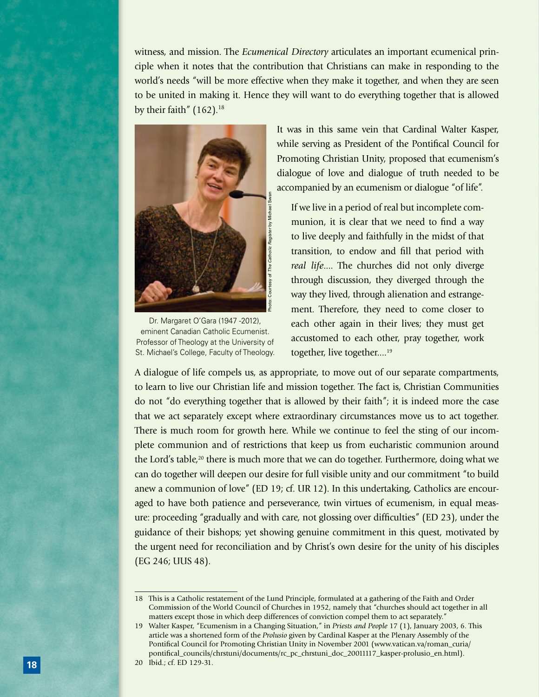witness, and mission. The *Ecumenical Directory* articulates an important ecumenical principle when it notes that the contribution that Christians can make in responding to the world's needs "will be more effective when they make it together, and when they are seen to be united in making it. Hence they will want to do everything together that is allowed by their faith"  $(162)^{18}$ 



Dr. Margaret O'Gara (1947 -2012), eminent Canadian Catholic Ecumenist. Professor of Theology at the University of

It was in this same vein that Cardinal Walter Kasper, while serving as President of the Pontifical Council for Promoting Christian Unity, proposed that ecumenism's dialogue of love and dialogue of truth needed to be accompanied by an ecumenism or dialogue "of life".

 If we live in a period of real but incomplete communion, it is clear that we need to find a way to live deeply and faithfully in the midst of that transition, to endow and fill that period with *real life*.... The churches did not only diverge through discussion, they diverged through the way they lived, through alienation and estrangement. Therefore, they need to come closer to each other again in their lives; they must get accustomed to each other, pray together, work together, live together....<sup>19</sup>

A dialogue of life compels us, as appropriate, to move out of our separate compartments, to learn to live our Christian life and mission together. The fact is, Christian Communities do not "do everything together that is allowed by their faith"; it is indeed more the case that we act separately except where extraordinary circumstances move us to act together. There is much room for growth here. While we continue to feel the sting of our incomplete communion and of restrictions that keep us from eucharistic communion around the Lord's table,<sup>20</sup> there is much more that we can do together. Furthermore, doing what we can do together will deepen our desire for full visible unity and our commitment "to build anew a communion of love" (ED 19; cf. UR 12). In this undertaking, Catholics are encouraged to have both patience and perseverance, twin virtues of ecumenism, in equal measure: proceeding "gradually and with care, not glossing over difficulties" (ED 23), under the guidance of their bishops; yet showing genuine commitment in this quest, motivated by the urgent need for reconciliation and by Christ's own desire for the unity of his disciples (EG 246; UUS 48).

<sup>18</sup> This is a Catholic restatement of the Lund Principle, formulated at a gathering of the Faith and Order Commission of the World Council of Churches in 1952, namely that "churches should act together in all matters except those in which deep differences of conviction compel them to act separately."

<sup>19</sup> Walter Kasper, "Ecumenism in a Changing Situation," in *Priests and People* 17 (1), January 2003, 6. This article was a shortened form of the *Prolusio* given by Cardinal Kasper at the Plenary Assembly of the Pontifical Council for Promoting Christian Unity in November 2001 (www.vatican.va/roman\_curia/ pontifical\_councils/chrstuni/documents/rc\_pc\_chrstuni\_doc\_20011117\_kasper-prolusio\_en.html).

<sup>20</sup> Ibid.; cf. ED 129-31.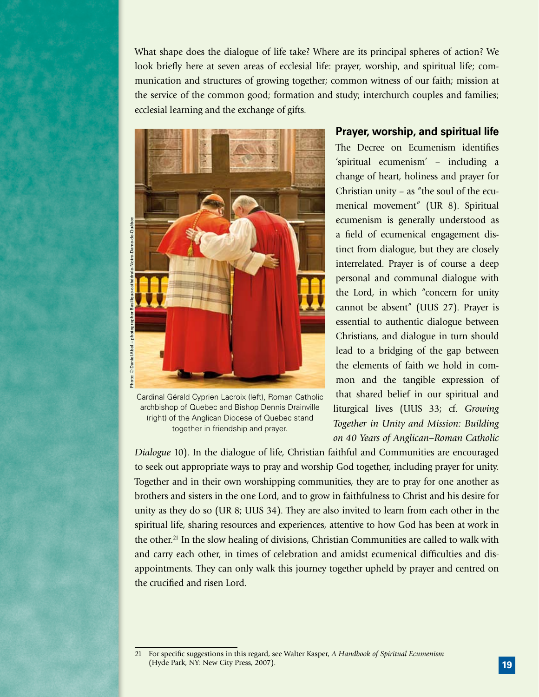What shape does the dialogue of life take? Where are its principal spheres of action? We look briefly here at seven areas of ecclesial life: prayer, worship, and spiritual life; communication and structures of growing together; common witness of our faith; mission at the service of the common good; formation and study; interchurch couples and families; ecclesial learning and the exchange of gifts.



Cardinal Gérald Cyprien Lacroix (left), Roman Catholic archbishop of Quebec and Bishop Dennis Drainville (right) of the Anglican Diocese of Quebec stand together in friendship and prayer.

## **Prayer, worship, and spiritual life**

The Decree on Ecumenism identifies 'spiritual ecumenism' – including a change of heart, holiness and prayer for Christian unity – as "the soul of the ecumenical movement" (UR 8). Spiritual ecumenism is generally understood as a field of ecumenical engagement distinct from dialogue, but they are closely interrelated. Prayer is of course a deep personal and communal dialogue with the Lord, in which "concern for unity cannot be absent" (UUS 27). Prayer is essential to authentic dialogue between Christians, and dialogue in turn should lead to a bridging of the gap between the elements of faith we hold in common and the tangible expression of that shared belief in our spiritual and liturgical lives (UUS 33; cf. *Growing Together in Unity and Mission: Building on 40 Years of Anglican–Roman Catholic* 

*Dialogue* 10). In the dialogue of life, Christian faithful and Communities are encouraged to seek out appropriate ways to pray and worship God together, including prayer for unity. Together and in their own worshipping communities, they are to pray for one another as brothers and sisters in the one Lord, and to grow in faithfulness to Christ and his desire for unity as they do so (UR 8; UUS 34). They are also invited to learn from each other in the spiritual life, sharing resources and experiences, attentive to how God has been at work in the other.<sup>21</sup> In the slow healing of divisions, Christian Communities are called to walk with and carry each other, in times of celebration and amidst ecumenical difficulties and disappointments. They can only walk this journey together upheld by prayer and centred on the crucified and risen Lord.

<sup>21</sup> For specific suggestions in this regard, see Walter Kasper, *A Handbook of Spiritual Ecumenism* (Hyde Park, NY: New City Press, 2007).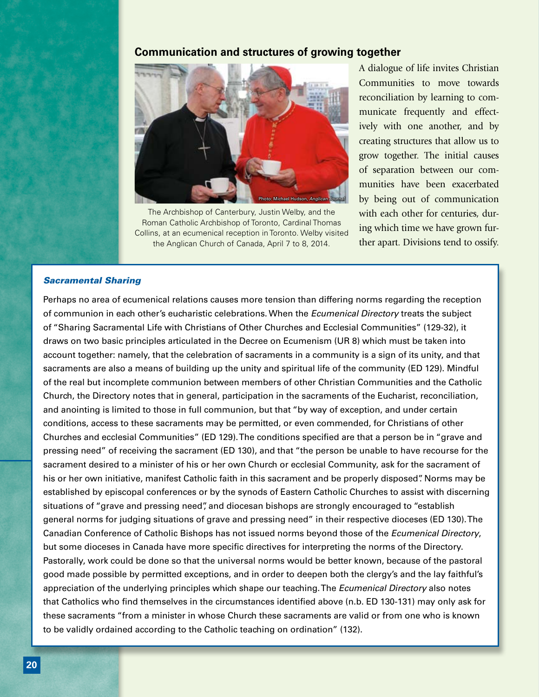## **Communication and structures of growing together**



The Archbishop of Canterbury, Justin Welby, and the Roman Catholic Archbishop of Toronto, Cardinal Thomas Collins, at an ecumenical reception in Toronto. Welby visited the Anglican Church of Canada, April 7 to 8, 2014.

A dialogue of life invites Christian Communities to move towards reconciliation by learning to communicate frequently and effectively with one another, and by creating structures that allow us to grow together. The initial causes of separation between our communities have been exacerbated by being out of communication with each other for centuries, during which time we have grown further apart. Divisions tend to ossify.

#### *Sacramental Sharing*

Perhaps no area of ecumenical relations causes more tension than differing norms regarding the reception of communion in each other's eucharistic celebrations. When the *Ecumenical Directory* treats the subject of "Sharing Sacramental Life with Christians of Other Churches and Ecclesial Communities" (129-32), it draws on two basic principles articulated in the Decree on Ecumenism (UR 8) which must be taken into account together: namely, that the celebration of sacraments in a community is a sign of its unity, and that sacraments are also a means of building up the unity and spiritual life of the community (ED 129). Mindful of the real but incomplete communion between members of other Christian Communities and the Catholic Church, the Directory notes that in general, participation in the sacraments of the Eucharist, reconciliation, and anointing is limited to those in full communion, but that "by way of exception, and under certain conditions, access to these sacraments may be permitted, or even commended, for Christians of other Churches and ecclesial Communities" (ED 129). The conditions specified are that a person be in "grave and pressing need" of receiving the sacrament (ED 130), and that "the person be unable to have recourse for the sacrament desired to a minister of his or her own Church or ecclesial Community, ask for the sacrament of his or her own initiative, manifest Catholic faith in this sacrament and be properly disposed". Norms may be established by episcopal conferences or by the synods of Eastern Catholic Churches to assist with discerning situations of "grave and pressing need", and diocesan bishops are strongly encouraged to "establish general norms for judging situations of grave and pressing need" in their respective dioceses (ED 130). The Canadian Conference of Catholic Bishops has not issued norms beyond those of the *Ecumenical Directory*, but some dioceses in Canada have more specific directives for interpreting the norms of the Directory. Pastorally, work could be done so that the universal norms would be better known, because of the pastoral good made possible by permitted exceptions, and in order to deepen both the clergy's and the lay faithful's appreciation of the underlying principles which shape our teaching. The *Ecumenical Directory* also notes that Catholics who find themselves in the circumstances identified above (n.b. ED 130-131) may only ask for these sacraments "from a minister in whose Church these sacraments are valid or from one who is known to be validly ordained according to the Catholic teaching on ordination" (132).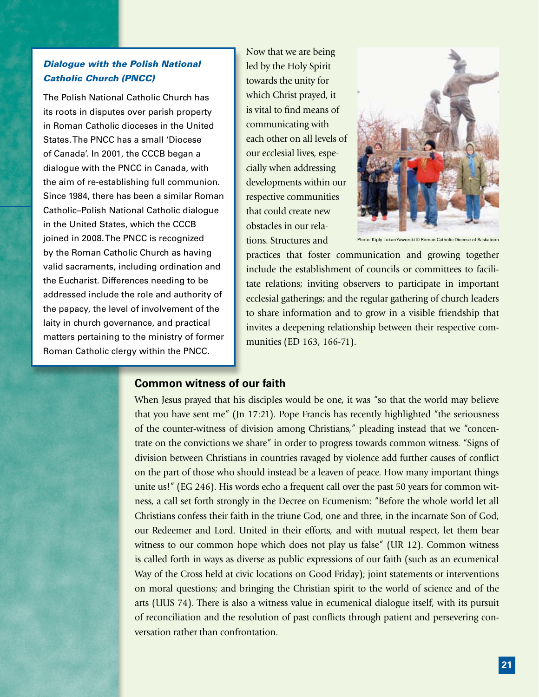## *Dialogue with the Polish National Catholic Church (PNCC)*

The Polish National Catholic Church has its roots in disputes over parish property in Roman Catholic dioceses in the United States. The PNCC has a small 'Diocese of Canada'. In 2001, the CCCB began a dialogue with the PNCC in Canada, with the aim of re-establishing full communion. Since 1984, there has been a similar Roman Catholic–Polish National Catholic dialogue in the United States, which the CCCB joined in 2008. The PNCC is recognized by the Roman Catholic Church as having valid sacraments, including ordination and the Eucharist. Differences needing to be addressed include the role and authority of the papacy, the level of involvement of the laity in church governance, and practical matters pertaining to the ministry of former Roman Catholic clergy within the PNCC.

Now that we are being led by the Holy Spirit towards the unity for which Christ prayed, it is vital to find means of communicating with each other on all levels of our ecclesial lives, especially when addressing developments within our respective communities that could create new obstacles in our relations. Structures and



Photo: Kiply Lukan Yaworski © Roman Catholic Diocese of Saskatoon

practices that foster communication and growing together include the establishment of councils or committees to facilitate relations; inviting observers to participate in important ecclesial gatherings; and the regular gathering of church leaders to share information and to grow in a visible friendship that invites a deepening relationship between their respective communities (ED 163, 166-71).

## **Common witness of our faith**

When Jesus prayed that his disciples would be one, it was "so that the world may believe that you have sent me" (Jn 17:21). Pope Francis has recently highlighted "the seriousness of the counter-witness of division among Christians," pleading instead that we "concentrate on the convictions we share" in order to progress towards common witness. "Signs of division between Christians in countries ravaged by violence add further causes of conflict on the part of those who should instead be a leaven of peace. How many important things unite us!" (EG 246). His words echo a frequent call over the past 50 years for common witness, a call set forth strongly in the Decree on Ecumenism: "Before the whole world let all Christians confess their faith in the triune God, one and three, in the incarnate Son of God, our Redeemer and Lord. United in their efforts, and with mutual respect, let them bear witness to our common hope which does not play us false" (UR 12). Common witness is called forth in ways as diverse as public expressions of our faith (such as an ecumenical Way of the Cross held at civic locations on Good Friday); joint statements or interventions on moral questions; and bringing the Christian spirit to the world of science and of the arts (UUS 74). There is also a witness value in ecumenical dialogue itself, with its pursuit of reconciliation and the resolution of past conflicts through patient and persevering conversation rather than confrontation.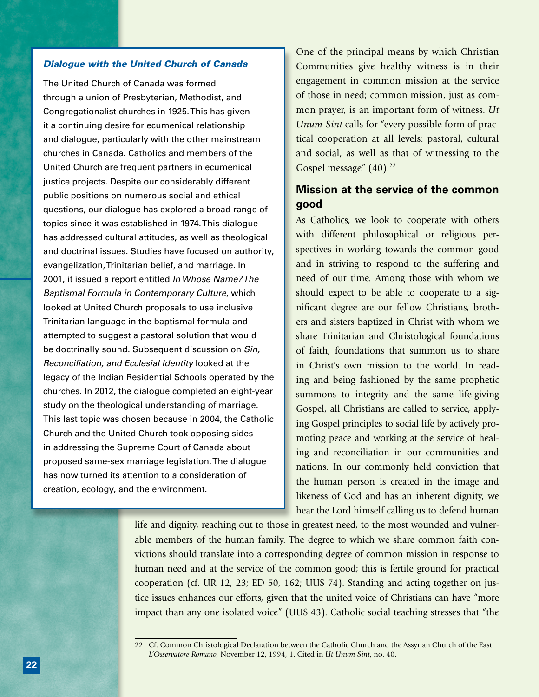#### *Dialogue with the United Church of Canada*

The United Church of Canada was formed through a union of Presbyterian, Methodist, and Congregationalist churches in 1925. This has given it a continuing desire for ecumenical relationship and dialogue, particularly with the other mainstream churches in Canada. Catholics and members of the United Church are frequent partners in ecumenical justice projects. Despite our considerably different public positions on numerous social and ethical questions, our dialogue has explored a broad range of topics since it was established in 1974. This dialogue has addressed cultural attitudes, as well as theological and doctrinal issues. Studies have focused on authority, evangelization, Trinitarian belief, and marriage. In 2001, it issued a report entitled *In Whose Name? The Baptismal Formula in Contemporary Culture*, which looked at United Church proposals to use inclusive Trinitarian language in the baptismal formula and attempted to suggest a pastoral solution that would be doctrinally sound. Subsequent discussion on *Sin, Reconciliation, and Ecclesial Identity* looked at the legacy of the Indian Residential Schools operated by the churches. In 2012, the dialogue completed an eight-year study on the theological understanding of marriage. This last topic was chosen because in 2004, the Catholic Church and the United Church took opposing sides in addressing the Supreme Court of Canada about proposed same-sex marriage legislation. The dialogue has now turned its attention to a consideration of creation, ecology, and the environment.

One of the principal means by which Christian Communities give healthy witness is in their engagement in common mission at the service of those in need; common mission, just as common prayer, is an important form of witness. *Ut Unum Sint* calls for "every possible form of practical cooperation at all levels: pastoral, cultural and social, as well as that of witnessing to the Gospel message" (40).<sup>22</sup>

## **Mission at the service of the common good**

As Catholics, we look to cooperate with others with different philosophical or religious perspectives in working towards the common good and in striving to respond to the suffering and need of our time. Among those with whom we should expect to be able to cooperate to a significant degree are our fellow Christians, brothers and sisters baptized in Christ with whom we share Trinitarian and Christological foundations of faith, foundations that summon us to share in Christ's own mission to the world. In reading and being fashioned by the same prophetic summons to integrity and the same life-giving Gospel, all Christians are called to service, applying Gospel principles to social life by actively promoting peace and working at the service of healing and reconciliation in our communities and nations. In our commonly held conviction that the human person is created in the image and likeness of God and has an inherent dignity, we hear the Lord himself calling us to defend human

life and dignity, reaching out to those in greatest need, to the most wounded and vulnerable members of the human family. The degree to which we share common faith convictions should translate into a corresponding degree of common mission in response to human need and at the service of the common good; this is fertile ground for practical cooperation (cf. UR 12, 23; ED 50, 162; UUS 74). Standing and acting together on justice issues enhances our efforts, given that the united voice of Christians can have "more impact than any one isolated voice" (UUS 43). Catholic social teaching stresses that "the

<sup>22</sup> Cf. Common Christological Declaration between the Catholic Church and the Assyrian Church of the East: *L'Osservatore Romano,* November 12, 1994, 1. Cited in *Ut Unum Sint*, no. 40.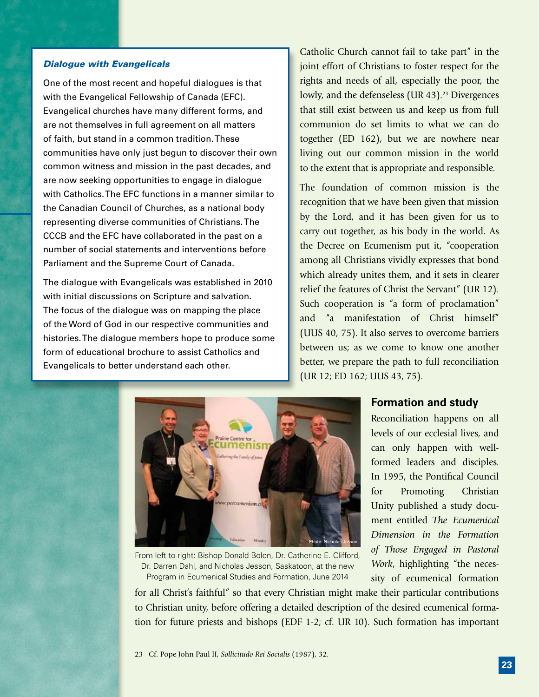#### *Dialogue with Evangelicals*

One of the most recent and hopeful dialogues is that with the Evangelical Fellowship of Canada (EFC). Evangelical churches have many different forms, and are not themselves in full agreement on all matters of faith, but stand in a common tradition. These communities have only just begun to discover their own common witness and mission in the past decades, and are now seeking opportunities to engage in dialogue with Catholics. The EFC functions in a manner similar to the Canadian Council of Churches, as a national body representing diverse communities of Christians. The CCCB and the EFC have collaborated in the past on a number of social statements and interventions before Parliament and the Supreme Court of Canada.

The dialogue with Evangelicals was established in 2010 with initial discussions on Scripture and salvation. The focus of the dialogue was on mapping the place of the Word of God in our respective communities and histories. The dialogue members hope to produce some form of educational brochure to assist Catholics and Evangelicals to better understand each other.

Catholic Church cannot fail to take part" in the joint effort of Christians to foster respect for the rights and needs of all, especially the poor, the lowly, and the defenseless (UR 43).<sup>23</sup> Divergences that still exist between us and keep us from full communion do set limits to what we can do together (ED 162), but we are nowhere near living out our common mission in the world to the extent that is appropriate and responsible.

The foundation of common mission is the recognition that we have been given that mission by the Lord, and it has been given for us to carry out together, as his body in the world. As the Decree on Ecumenism put it, "cooperation among all Christians vividly expresses that bond which already unites them, and it sets in clearer relief the features of Christ the Servant" (UR 12). Such cooperation is "a form of proclamation" and "a manifestation of Christ himself" (UUS 40, 75). It also serves to overcome barriers between us; as we come to know one another better, we prepare the path to full reconciliation (UR 12; ED 162; UUS 43, 75).



From left to right: Bishop Donald Bolen, Dr. Catherine E. Clifford, Dr. Darren Dahl, and Nicholas Jesson, Saskatoon, at the new Program in Ecumenical Studies and Formation, June 2014

### **Formation and study**

Reconciliation happens on all levels of our ecclesial lives, and can only happen with wellformed leaders and disciples. In 1995, the Pontifical Council for Promoting Christian Unity published a study document entitled *The Ecumenical Dimension in the Formation of Those Engaged in Pastoral Work*, highlighting "the necessity of ecumenical formation

for all Christ's faithful" so that every Christian might make their particular contributions to Christian unity, before offering a detailed description of the desired ecumenical formation for future priests and bishops (EDF 1-2; cf. UR 10). Such formation has important

<sup>23</sup> Cf. Pope John Paul II, *Sollicitudo Rei Socialis* (1987), 32.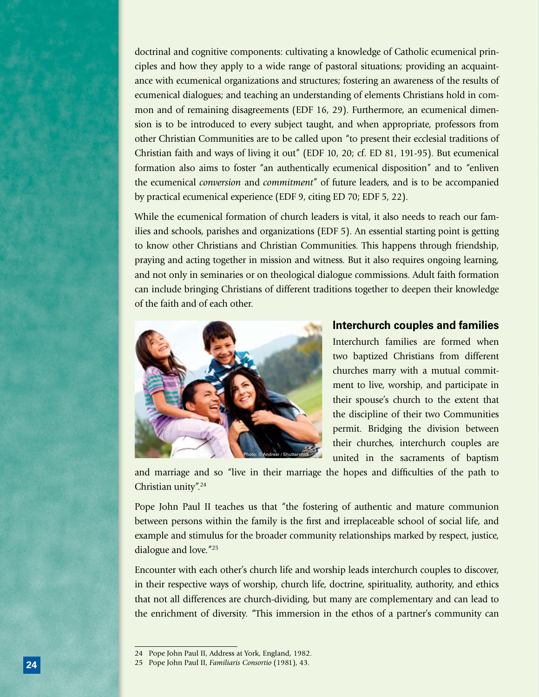doctrinal and cognitive components: cultivating a knowledge of Catholic ecumenical principles and how they apply to a wide range of pastoral situations; providing an acquaintance with ecumenical organizations and structures; fostering an awareness of the results of ecumenical dialogues; and teaching an understanding of elements Christians hold in common and of remaining disagreements (EDF 16, 29). Furthermore, an ecumenical dimension is to be introduced to every subject taught, and when appropriate, professors from other Christian Communities are to be called upon "to present their ecclesial traditions of Christian faith and ways of living it out" (EDF 10, 20; cf. ED 81, 191-95). But ecumenical formation also aims to foster "an authentically ecumenical disposition" and to "enliven the ecumenical *conversion* and *commitment*" of future leaders, and is to be accompanied by practical ecumenical experience (EDF 9, citing ED 70; EDF 5, 22).

While the ecumenical formation of church leaders is vital, it also needs to reach our families and schools, parishes and organizations (EDF 5). An essential starting point is getting to know other Christians and Christian Communities. This happens through friendship, praying and acting together in mission and witness. But it also requires ongoing learning, and not only in seminaries or on theological dialogue commissions. Adult faith formation can include bringing Christians of different traditions together to deepen their knowledge of the faith and of each other.



#### **Interchurch couples and families**

Interchurch families are formed when two baptized Christians from different churches marry with a mutual commitment to live, worship, and participate in their spouse's church to the extent that the discipline of their two Communities permit. Bridging the division between their churches, interchurch couples are united in the sacraments of baptism

and marriage and so "live in their marriage the hopes and difficulties of the path to Christian unity".24

Pope John Paul II teaches us that "the fostering of authentic and mature communion between persons within the family is the first and irreplaceable school of social life, and example and stimulus for the broader community relationships marked by respect, justice, dialogue and love."25

Encounter with each other's church life and worship leads interchurch couples to discover, in their respective ways of worship, church life, doctrine, spirituality, authority, and ethics that not all differences are church-dividing, but many are complementary and can lead to the enrichment of diversity. "This immersion in the ethos of a partner's community can

<sup>24</sup> Pope John Paul II, Address at York, England, 1982.

<sup>25</sup> Pope John Paul II, *Familiaris Consortio* (1981), 43.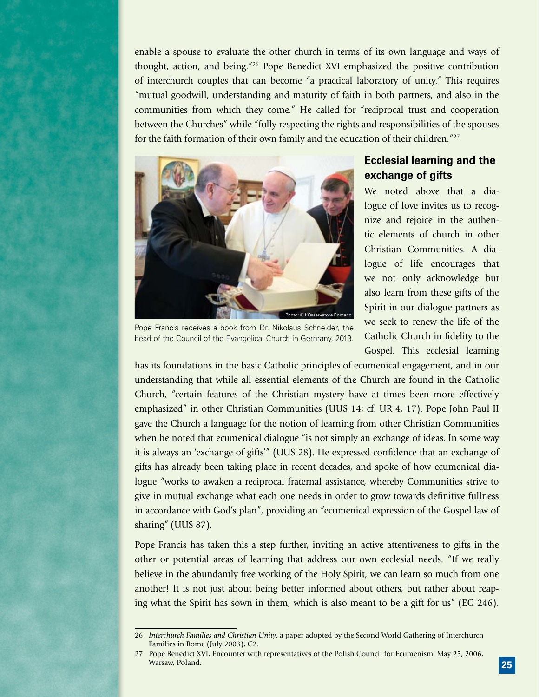enable a spouse to evaluate the other church in terms of its own language and ways of thought, action, and being."26 Pope Benedict XVI emphasized the positive contribution of interchurch couples that can become "a practical laboratory of unity." This requires "mutual goodwill, understanding and maturity of faith in both partners, and also in the communities from which they come." He called for "reciprocal trust and cooperation between the Churches" while "fully respecting the rights and responsibilities of the spouses for the faith formation of their own family and the education of their children."27



Pope Francis receives a book from Dr. Nikolaus Schneider, the head of the Council of the Evangelical Church in Germany, 2013.

## **Ecclesial learning and the exchange of gifts**

We noted above that a dialogue of love invites us to recognize and rejoice in the authentic elements of church in other Christian Communities. A dialogue of life encourages that we not only acknowledge but also learn from these gifts of the Spirit in our dialogue partners as we seek to renew the life of the Catholic Church in fidelity to the Gospel. This ecclesial learning

has its foundations in the basic Catholic principles of ecumenical engagement, and in our understanding that while all essential elements of the Church are found in the Catholic Church, "certain features of the Christian mystery have at times been more effectively emphasized" in other Christian Communities (UUS 14; cf. UR 4, 17). Pope John Paul II gave the Church a language for the notion of learning from other Christian Communities when he noted that ecumenical dialogue "is not simply an exchange of ideas. In some way it is always an 'exchange of gifts'" (UUS 28). He expressed confidence that an exchange of gifts has already been taking place in recent decades, and spoke of how ecumenical dialogue "works to awaken a reciprocal fraternal assistance, whereby Communities strive to give in mutual exchange what each one needs in order to grow towards definitive fullness in accordance with God's plan", providing an "ecumenical expression of the Gospel law of sharing" (UUS 87).

Pope Francis has taken this a step further, inviting an active attentiveness to gifts in the other or potential areas of learning that address our own ecclesial needs. "If we really believe in the abundantly free working of the Holy Spirit, we can learn so much from one another! It is not just about being better informed about others, but rather about reaping what the Spirit has sown in them, which is also meant to be a gift for us" (EG 246).

<sup>26</sup> *Interchurch Families and Christian Unity*, a paper adopted by the Second World Gathering of Interchurch Families in Rome (July 2003), C2.

<sup>27</sup> Pope Benedict XVI, Encounter with representatives of the Polish Council for Ecumenism, May 25, 2006, Warsaw, Poland.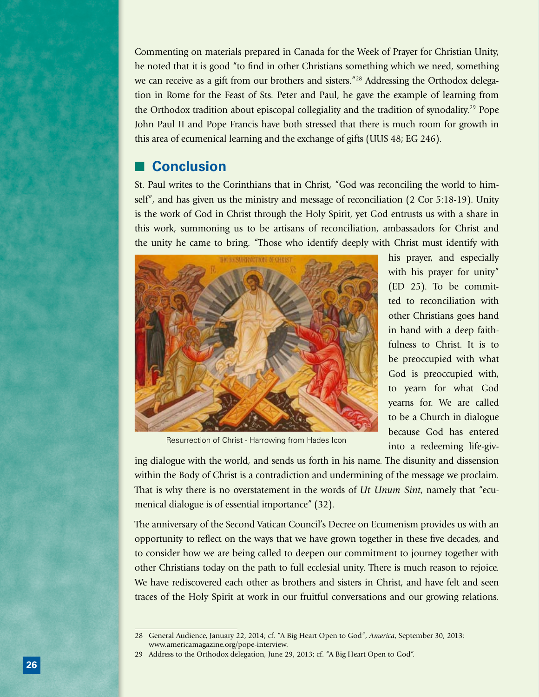Commenting on materials prepared in Canada for the Week of Prayer for Christian Unity, he noted that it is good "to find in other Christians something which we need, something we can receive as a gift from our brothers and sisters.<sup>"28</sup> Addressing the Orthodox delegation in Rome for the Feast of Sts. Peter and Paul, he gave the example of learning from the Orthodox tradition about episcopal collegiality and the tradition of synodality.29 Pope John Paul II and Pope Francis have both stressed that there is much room for growth in this area of ecumenical learning and the exchange of gifts (UUS 48; EG 246).

# ■ **Conclusion**

St. Paul writes to the Corinthians that in Christ, "God was reconciling the world to himself", and has given us the ministry and message of reconciliation (2 Cor 5:18-19). Unity is the work of God in Christ through the Holy Spirit, yet God entrusts us with a share in this work, summoning us to be artisans of reconciliation, ambassadors for Christ and the unity he came to bring. "Those who identify deeply with Christ must identify with



his prayer, and especially with his prayer for unity" (ED 25). To be committed to reconciliation with other Christians goes hand in hand with a deep faithfulness to Christ. It is to be preoccupied with what God is preoccupied with, to yearn for what God yearns for. We are called to be a Church in dialogue because God has entered into a redeeming life-giv-

Resurrection of Christ - Harrowing from Hades Icon

ing dialogue with the world, and sends us forth in his name. The disunity and dissension within the Body of Christ is a contradiction and undermining of the message we proclaim. That is why there is no overstatement in the words of *Ut Unum Sint*, namely that "ecumenical dialogue is of essential importance" (32).

The anniversary of the Second Vatican Council's Decree on Ecumenism provides us with an opportunity to reflect on the ways that we have grown together in these five decades, and to consider how we are being called to deepen our commitment to journey together with other Christians today on the path to full ecclesial unity. There is much reason to rejoice. We have rediscovered each other as brothers and sisters in Christ, and have felt and seen traces of the Holy Spirit at work in our fruitful conversations and our growing relations.

<sup>28</sup> General Audience, January 22, 2014; cf. "A Big Heart Open to God", *America*, September 30, 2013: www.americamagazine.org/pope-interview.

<sup>29</sup> Address to the Orthodox delegation, June 29, 2013; cf. "A Big Heart Open to God".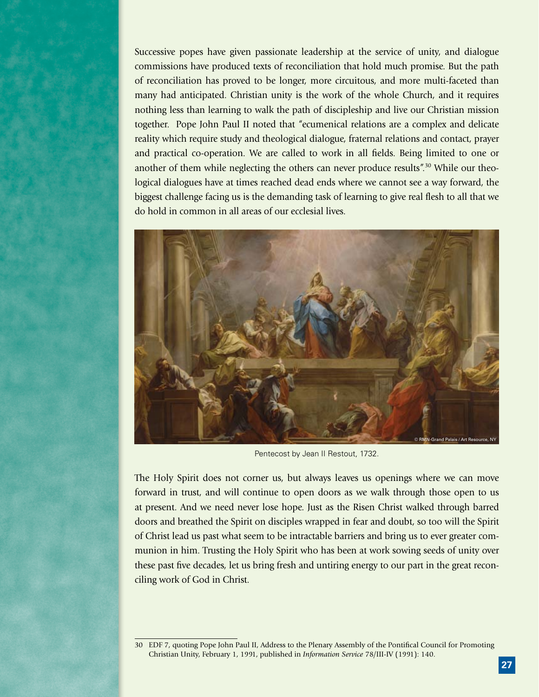Successive popes have given passionate leadership at the service of unity, and dialogue commissions have produced texts of reconciliation that hold much promise. But the path of reconciliation has proved to be longer, more circuitous, and more multi-faceted than many had anticipated. Christian unity is the work of the whole Church, and it requires nothing less than learning to walk the path of discipleship and live our Christian mission together. Pope John Paul II noted that "ecumenical relations are a complex and delicate reality which require study and theological dialogue, fraternal relations and contact, prayer and practical co-operation. We are called to work in all fields. Being limited to one or another of them while neglecting the others can never produce results".30 While our theological dialogues have at times reached dead ends where we cannot see a way forward, the biggest challenge facing us is the demanding task of learning to give real flesh to all that we do hold in common in all areas of our ecclesial lives.



Pentecost by Jean II Restout, 1732.

The Holy Spirit does not corner us, but always leaves us openings where we can move forward in trust, and will continue to open doors as we walk through those open to us at present. And we need never lose hope. Just as the Risen Christ walked through barred doors and breathed the Spirit on disciples wrapped in fear and doubt, so too will the Spirit of Christ lead us past what seem to be intractable barriers and bring us to ever greater communion in him. Trusting the Holy Spirit who has been at work sowing seeds of unity over these past five decades, let us bring fresh and untiring energy to our part in the great reconciling work of God in Christ.

<sup>30</sup> EDF 7, quoting Pope John Paul II, Address to the Plenary Assembly of the Pontifical Council for Promoting Christian Unity, February 1, 1991, published in *Information Service* 78/III-IV (1991): 140.